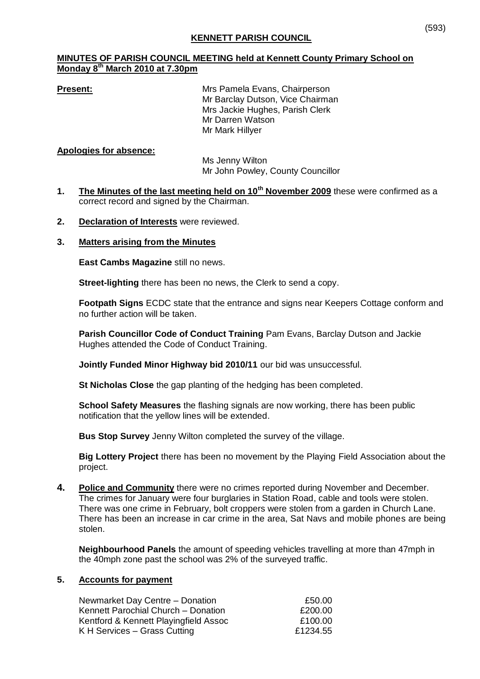# **KENNETT PARISH COUNCIL**

### **MINUTES OF PARISH COUNCIL MEETING held at Kennett County Primary School on Monday 8th March 2010 at 7.30pm**

**Present:** Mrs Pamela Evans, Chairperson Mr Barclay Dutson, Vice Chairman Mrs Jackie Hughes, Parish Clerk Mr Darren Watson Mr Mark Hillyer

### **Apologies for absence:**

Ms Jenny Wilton Mr John Powley, County Councillor

- **1. The Minutes of the last meeting held on 10th November 2009** these were confirmed as a correct record and signed by the Chairman.
- **2. Declaration of Interests** were reviewed.

### **3. Matters arising from the Minutes**

**East Cambs Magazine** still no news.

**Street-lighting** there has been no news, the Clerk to send a copy.

**Footpath Signs** ECDC state that the entrance and signs near Keepers Cottage conform and no further action will be taken.

**Parish Councillor Code of Conduct Training** Pam Evans, Barclay Dutson and Jackie Hughes attended the Code of Conduct Training.

**Jointly Funded Minor Highway bid 2010/11** our bid was unsuccessful.

**St Nicholas Close** the gap planting of the hedging has been completed.

**School Safety Measures** the flashing signals are now working, there has been public notification that the yellow lines will be extended.

**Bus Stop Survey** Jenny Wilton completed the survey of the village.

**Big Lottery Project** there has been no movement by the Playing Field Association about the project.

**4. Police and Community** there were no crimes reported during November and December. The crimes for January were four burglaries in Station Road, cable and tools were stolen. There was one crime in February, bolt croppers were stolen from a garden in Church Lane. There has been an increase in car crime in the area, Sat Navs and mobile phones are being stolen.

**Neighbourhood Panels** the amount of speeding vehicles travelling at more than 47mph in the 40mph zone past the school was 2% of the surveyed traffic.

### **5. Accounts for payment**

| Newmarket Day Centre - Donation       | £50.00   |
|---------------------------------------|----------|
| Kennett Parochial Church - Donation   | £200.00  |
| Kentford & Kennett Playingfield Assoc | £100.00  |
| K H Services – Grass Cutting          | £1234.55 |